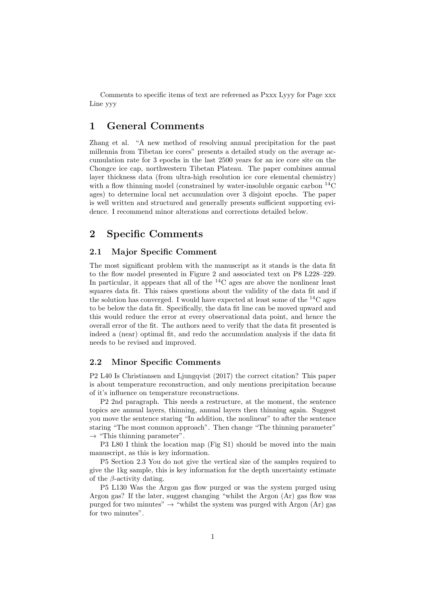Comments to specific items of text are referened as Pxxx Lyyy for Page xxx Line yyy

# 1 General Comments

Zhang et al. "A new method of resolving annual precipitation for the past millennia from Tibetan ice cores" presents a detailed study on the average accumulation rate for 3 epochs in the last 2500 years for an ice core site on the Chongce ice cap, northwestern Tibetan Plateau. The paper combines annual layer thickness data (from ultra-high resolution ice core elemental chemistry) with a flow thinning model (constrained by water-insoluble organic carbon  ${}^{14}$ C ages) to determine local net accumulation over 3 disjoint epochs. The paper is well written and structured and generally presents sufficient supporting evidence. I recommend minor alterations and corrections detailed below.

## 2 Specific Comments

#### 2.1 Major Specific Comment

The most significant problem with the manuscript as it stands is the data fit to the flow model presented in Figure 2 and associated text on P8 L228–229. In particular, it appears that all of the  ${}^{14}$ C ages are above the nonlinear least squares data fit. This raises questions about the validity of the data fit and if the solution has converged. I would have expected at least some of the  ${}^{14}C$  ages to be below the data fit. Specifically, the data fit line can be moved upward and this would reduce the error at every observational data point, and hence the overall error of the fit. The authors need to verify that the data fit presented is indeed a (near) optimal fit, and redo the accumulation analysis if the data fit needs to be revised and improved.

#### 2.2 Minor Specific Comments

P2 L40 Is Christiansen and Ljungqvist (2017) the correct citation? This paper is about temperature reconstruction, and only mentions precipitation because of it's influence on temperature reconstructions.

P2 2nd paragraph. This needs a restructure, at the moment, the sentence topics are annual layers, thinning, annual layers then thinning again. Suggest you move the sentence staring "In addition, the nonlinear" to after the sentence staring "The most common approach". Then change "The thinning parameter"  $\rightarrow$  "This thinning parameter".

P3 L80 I think the location map (Fig S1) should be moved into the main manuscript, as this is key information.

P5 Section 2.3 You do not give the vertical size of the samples required to give the 1kg sample, this is key information for the depth uncertainty estimate of the  $\beta$ -activity dating.

P5 L130 Was the Argon gas flow purged or was the system purged using Argon gas? If the later, suggest changing "whilst the Argon (Ar) gas flow was purged for two minutes"  $\rightarrow$  "whilst the system was purged with Argon (Ar) gas for two minutes".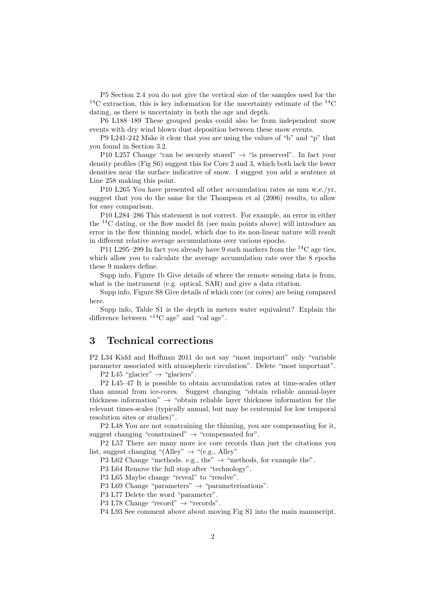P5 Section 2.4 you do not give the vertical size of the samples used for the  $14C$  extraction, this is key information for the uncertainty estimate of the  $14C$ dating, as there is uncertainty in both the age and depth.

P6 L188–189 These grouped peaks could also be from independent snow events with dry wind blown dust deposition between these snow events.

P9 L241-242 Make it clear that you are using the values of "b" and "p" that you found in Section 3.2.

P10 L257 Change "can be securely stored"  $\rightarrow$  "is preserved". In fact your density profiles (Fig S6) suggest this for Core 2 and 3, which both lack the lower densities near the surface indicative of snow. I suggest you add a sentence at Line 258 making this point.

P10 L265 You have presented all other accumulation rates as mm w.e./yr, suggest that you do the same for the Thompson et al (2006) results, to allow for easy comparison.

P10 L284–286 This statement is not correct. For example, an error in either the  $14C$  dating, or the flow model fit (see main points above) will introduce an error in the flow thinning model, which due to its non-linear nature will result in different relative average accumulations over various epochs.

P11 L295–299 In fact you already have 9 such markers from the  ${}^{14}C$  age ties, which allow you to calculate the average accumulation rate over the 8 epochs these 9 makers define.

Supp info, Figure 1b Give details of where the remote sensing data is from, what is the instrument (e.g. optical, SAR) and give a data citation.

Supp info, Figure S8 Give details of which core (or cores) are being compared here.

Supp info, Table S1 is the depth in meters water equivalent? Explain the difference between "<sup>14</sup>C age" and "cal age".

### 3 Technical corrections

P2 L34 Kidd and Hoffman 2011 do not say "most important" only "variable parameter associated with atmospheric circulation". Delete "most important".

P2 L45 "glacier"  $\rightarrow$  "glaciers".

P2 L45–47 It is possible to obtain accumulation rates at time-scales other than annual from ice-cores. Suggest changing "obtain reliable annual-layer thickness information"  $\rightarrow$  "obtain reliable layer thickness information for the relevant times-scales (typically annual, but may be centennial for low temporal resolution sites or studies)".

P2 L48 You are not constraining the thinning, you are compensating for it, suggest changing "constrained"  $\rightarrow$  "compensated for".

P2 L57 There are many more ice core records than just the citations you list, suggest changing "(Alley"  $\rightarrow$  "(e.g., Alley")

P3 L62 Change "methods. e.g., the"  $\rightarrow$  "methods, for example the".

P3 L64 Remove the full stop after "technology".

P3 L65 Maybe change "reveal" to "resolve".

P3 L69 Change "parameters"  $\rightarrow$  "parameterisations".

P3 L77 Delete the word "parameter".

P3 L78 Change "record"  $\rightarrow$  "records".

P4 L93 See comment above about moving Fig S1 into the main manuscript.